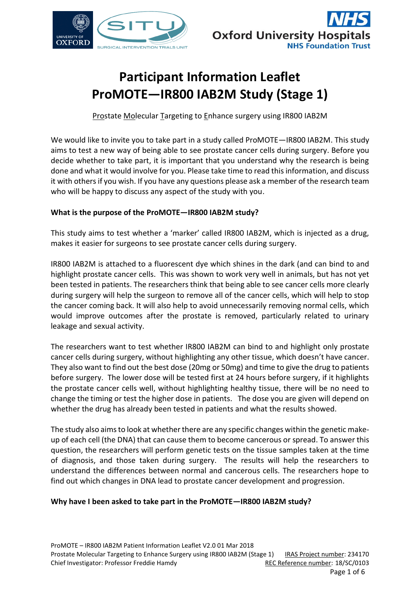



# **Participant Information Leaflet ProMOTE—IR800 IAB2M Study (Stage 1)**

Prostate Molecular Targeting to Enhance surgery using IR800 IAB2M

We would like to invite you to take part in a study called ProMOTE—IR800 IAB2M. This study aims to test a new way of being able to see prostate cancer cells during surgery. Before you decide whether to take part, it is important that you understand why the research is being done and what it would involve for you. Please take time to read this information, and discuss it with others if you wish. If you have any questions please ask a member of the research team who will be happy to discuss any aspect of the study with you.

# **What is the purpose of the ProMOTE—IR800 IAB2M study?**

This study aims to test whether a 'marker' called IR800 IAB2M, which is injected as a drug, makes it easier for surgeons to see prostate cancer cells during surgery.

IR800 IAB2M is attached to a fluorescent dye which shines in the dark (and can bind to and highlight prostate cancer cells. This was shown to work very well in animals, but has not yet been tested in patients. The researchers think that being able to see cancer cells more clearly during surgery will help the surgeon to remove all of the cancer cells, which will help to stop the cancer coming back. It will also help to avoid unnecessarily removing normal cells, which would improve outcomes after the prostate is removed, particularly related to urinary leakage and sexual activity.

The researchers want to test whether IR800 IAB2M can bind to and highlight only prostate cancer cells during surgery, without highlighting any other tissue, which doesn't have cancer. They also want to find out the best dose (20mg or 50mg) and time to give the drug to patients before surgery. The lower dose will be tested first at 24 hours before surgery, if it highlights the prostate cancer cells well, without highlighting healthy tissue, there will be no need to change the timing or test the higher dose in patients. The dose you are given will depend on whether the drug has already been tested in patients and what the results showed.

The study also aims to look at whether there are any specific changes within the genetic makeup of each cell (the DNA) that can cause them to become cancerous or spread. To answer this question, the researchers will perform genetic tests on the tissue samples taken at the time of diagnosis, and those taken during surgery. The results will help the researchers to understand the differences between normal and cancerous cells. The researchers hope to find out which changes in DNA lead to prostate cancer development and progression.

# **Why have I been asked to take part in the ProMOTE—IR800 IAB2M study?**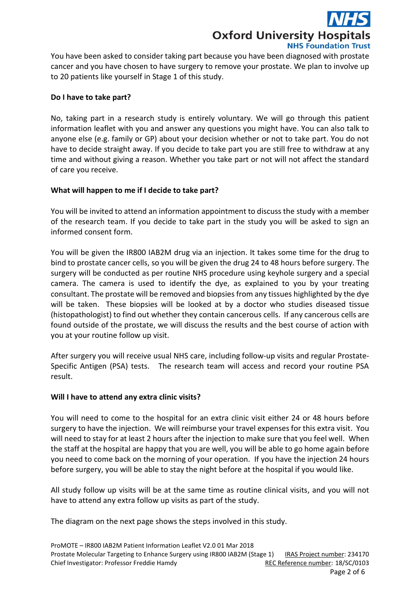**Oxford University Hospitals NHS Foundation Trust** 

You have been asked to consider taking part because you have been diagnosed with prostate cancer and you have chosen to have surgery to remove your prostate. We plan to involve up to 20 patients like yourself in Stage 1 of this study.

# **Do I have to take part?**

No, taking part in a research study is entirely voluntary. We will go through this patient information leaflet with you and answer any questions you might have. You can also talk to anyone else (e.g. family or GP) about your decision whether or not to take part. You do not have to decide straight away. If you decide to take part you are still free to withdraw at any time and without giving a reason. Whether you take part or not will not affect the standard of care you receive.

# **What will happen to me if I decide to take part?**

You will be invited to attend an information appointment to discuss the study with a member of the research team. If you decide to take part in the study you will be asked to sign an informed consent form.

You will be given the IR800 IAB2M drug via an injection. It takes some time for the drug to bind to prostate cancer cells, so you will be given the drug 24 to 48 hours before surgery. The surgery will be conducted as per routine NHS procedure using keyhole surgery and a special camera. The camera is used to identify the dye, as explained to you by your treating consultant. The prostate will be removed and biopsies from any tissues highlighted by the dye will be taken. These biopsies will be looked at by a doctor who studies diseased tissue (histopathologist) to find out whether they contain cancerous cells. If any cancerous cells are found outside of the prostate, we will discuss the results and the best course of action with you at your routine follow up visit.

After surgery you will receive usual NHS care, including follow-up visits and regular Prostate-Specific Antigen (PSA) tests. The research team will access and record your routine PSA result.

#### **Will I have to attend any extra clinic visits?**

You will need to come to the hospital for an extra clinic visit either 24 or 48 hours before surgery to have the injection. We will reimburse your travel expenses for this extra visit. You will need to stay for at least 2 hours after the injection to make sure that you feel well. When the staff at the hospital are happy that you are well, you will be able to go home again before you need to come back on the morning of your operation. If you have the injection 24 hours before surgery, you will be able to stay the night before at the hospital if you would like.

All study follow up visits will be at the same time as routine clinical visits, and you will not have to attend any extra follow up visits as part of the study.

The diagram on the next page shows the steps involved in this study.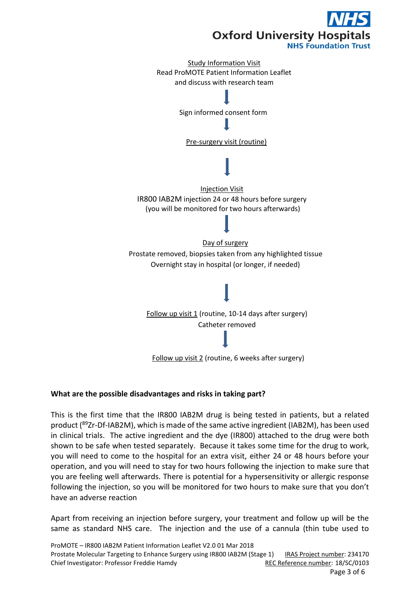

# **What are the possible disadvantages and risks in taking part?**

This is the first time that the IR800 IAB2M drug is being tested in patients, but a related product (<sup>89</sup>Zr-Df-IAB2M), which is made of the same active ingredient (IAB2M), has been used in clinical trials. The active ingredient and the dye (IR800) attached to the drug were both shown to be safe when tested separately. Because it takes some time for the drug to work, you will need to come to the hospital for an extra visit, either 24 or 48 hours before your operation, and you will need to stay for two hours following the injection to make sure that you are feeling well afterwards. There is potential for a hypersensitivity or allergic response following the injection, so you will be monitored for two hours to make sure that you don't have an adverse reaction

Apart from receiving an injection before surgery, your treatment and follow up will be the same as standard NHS care. The injection and the use of a cannula (thin tube used to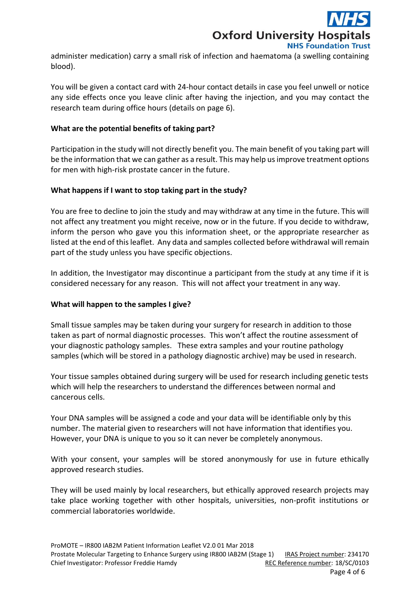

administer medication) carry a small risk of infection and haematoma (a swelling containing blood).

You will be given a contact card with 24-hour contact details in case you feel unwell or notice any side effects once you leave clinic after having the injection, and you may contact the research team during office hours (details on page 6).

# **What are the potential benefits of taking part?**

Participation in the study will not directly benefit you. The main benefit of you taking part will be the information that we can gather as a result. This may help us improve treatment options for men with high-risk prostate cancer in the future.

# **What happens if I want to stop taking part in the study?**

You are free to decline to join the study and may withdraw at any time in the future. This will not affect any treatment you might receive, now or in the future. If you decide to withdraw, inform the person who gave you this information sheet, or the appropriate researcher as listed at the end of this leaflet. Any data and samples collected before withdrawal will remain part of the study unless you have specific objections.

In addition, the Investigator may discontinue a participant from the study at any time if it is considered necessary for any reason. This will not affect your treatment in any way.

#### **[What will happen to the samples I give?](http://www.hra-decisiontools.org.uk/consent/content-sheet-support.html#twelve)**

Small tissue samples may be taken during your surgery for research in addition to those taken as part of normal diagnostic processes. This won't affect the routine assessment of your diagnostic pathology samples. These extra samples and your routine pathology samples (which will be stored in a pathology diagnostic archive) may be used in research.

Your tissue samples obtained during surgery will be used for research including genetic tests which will help the researchers to understand the differences between normal and cancerous cells.

Your DNA samples will be assigned a code and your data will be identifiable only by this number. The material given to researchers will not have information that identifies you. However, your DNA is unique to you so it can never be completely anonymous.

With your consent, your samples will be stored anonymously for use in future ethically approved research studies.

They will be used mainly by local researchers, but ethically approved research projects may take place working together with other hospitals, universities, non-profit institutions or commercial laboratories worldwide.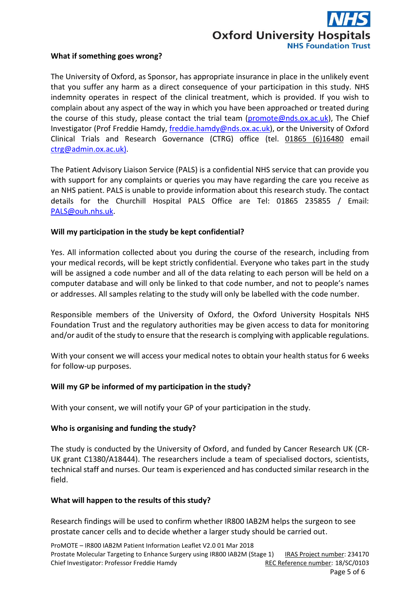

#### **What if something goes wrong?**

The University of Oxford, as Sponsor, has appropriate insurance in place in the unlikely event that you suffer any harm as a direct consequence of your participation in this study. NHS indemnity operates in respect of the clinical treatment, which is provided. If you wish to complain about any aspect of the way in which you have been approached or treated during the course of this study, please contact the trial team [\(promote@nds.ox.ac.uk\)](mailto:promote@nds.ox.ac.uk), The Chief Investigator (Prof Freddie Hamdy, [freddie.hamdy@nds.ox.ac.uk\)](mailto:freddie.hamdy@nds.ox.ac.uk), or the University of Oxford Clinical Trials and Research Governance (CTRG) office (tel. 01865 (6)16480 email [ctrg@admin.ox.ac.uk\)](mailto:ctrg@admin.ox.ac.uk).

The Patient Advisory Liaison Service (PALS) is a confidential NHS service that can provide you with support for any complaints or queries you may have regarding the care you receive as an NHS patient. PALS is unable to provide information about this research study. The contact details for the Churchill Hospital PALS Office are Tel: 01865 235855 / Email: [PALS@ouh.nhs.uk.](mailto:PALS@ouh.nhs.uk)

# **Will my participation in the study be kept confidential?**

Yes. All information collected about you during the course of the research, including from your medical records, will be kept strictly confidential. Everyone who takes part in the study will be assigned a code number and all of the data relating to each person will be held on a computer database and will only be linked to that code number, and not to people's names or addresses. All samples relating to the study will only be labelled with the code number.

Responsible members of the University of Oxford, the Oxford University Hospitals NHS Foundation Trust and the regulatory authorities may be given access to data for monitoring and/or audit of the study to ensure that the research is complying with applicable regulations.

With your consent we will access your medical notes to obtain your health status for 6 weeks for follow-up purposes.

#### **Will my GP be informed of my participation in the study?**

With your consent, we will notify your GP of your participation in the study.

#### **Who is organising and funding the study?**

The study is conducted by the University of Oxford, and funded by Cancer Research UK (CR-UK grant C1380/A18444). The researchers include a team of specialised doctors, scientists, technical staff and nurses. Our team is experienced and has conducted similar research in the field.

#### **What will happen to the results of this study?**

Research findings will be used to confirm whether IR800 IAB2M helps the surgeon to see prostate cancer cells and to decide whether a larger study should be carried out.